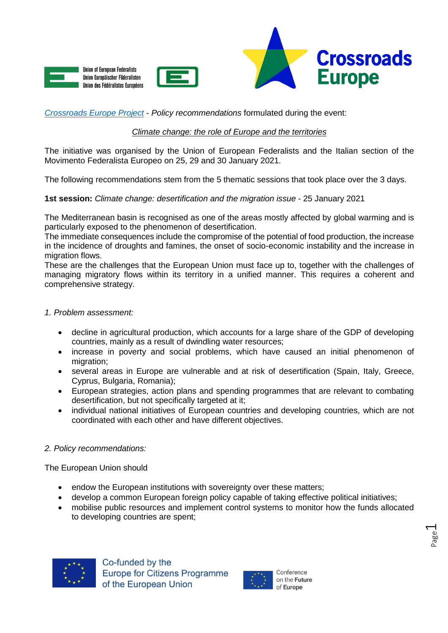





*[Crossroads Europe Project](https://www.crossroadseurope.eu/)* - *Policy recommendations* formulated during the event:

# *Climate change: the role of Europe and the territories*

The initiative was organised by the Union of European Federalists and the Italian section of the Movimento Federalista Europeo on 25, 29 and 30 January 2021.

The following recommendations stem from the 5 thematic sessions that took place over the 3 days.

**1st session:** *Climate change: desertification and the migration issue* - 25 January 2021

The Mediterranean basin is recognised as one of the areas mostly affected by global warming and is particularly exposed to the phenomenon of desertification.

The immediate consequences include the compromise of the potential of food production, the increase in the incidence of droughts and famines, the onset of socio-economic instability and the increase in migration flows.

These are the challenges that the European Union must face up to, together with the challenges of managing migratory flows within its territory in a unified manner. This requires a coherent and comprehensive strategy.

## *1. Problem assessment:*

- decline in agricultural production, which accounts for a large share of the GDP of developing countries, mainly as a result of dwindling water resources;
- increase in poverty and social problems, which have caused an initial phenomenon of migration;
- several areas in Europe are vulnerable and at risk of desertification (Spain, Italy, Greece, Cyprus, Bulgaria, Romania);
- European strategies, action plans and spending programmes that are relevant to combating desertification, but not specifically targeted at it;
- individual national initiatives of European countries and developing countries, which are not coordinated with each other and have different objectives.

## *2. Policy recommendations:*

The European Union should

- endow the European institutions with sovereignty over these matters;
- develop a common European foreign policy capable of taking effective political initiatives;
- mobilise public resources and implement control systems to monitor how the funds allocated to developing countries are spent;





Page  $\overline{\phantom{0}}$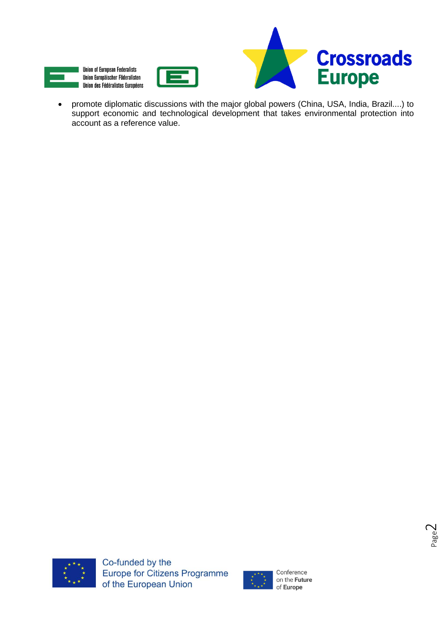





 promote diplomatic discussions with the major global powers (China, USA, India, Brazil....) to support economic and technological development that takes environmental protection into account as a reference value.



Co-funded by the Europe for Citizens Programme of the European Union

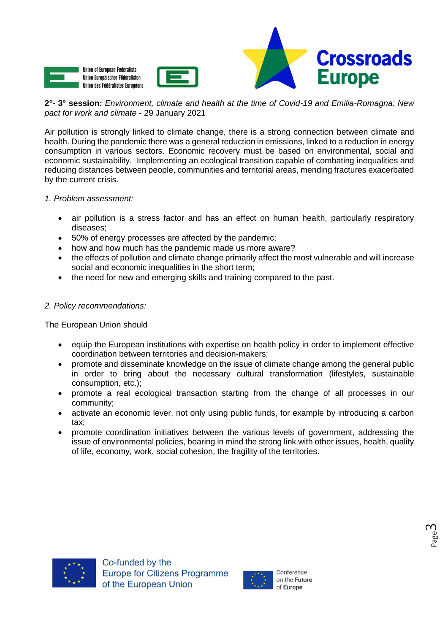





## **2°- 3° session:** *Environment, climate and health at the time of Covid-19 and Emilia-Romagna: New pact for work and climate* - 29 January 2021

Air pollution is strongly linked to climate change, there is a strong connection between climate and health. During the pandemic there was a general reduction in emissions, linked to a reduction in energy consumption in various sectors. Economic recovery must be based on environmental, social and economic sustainability. Implementing an ecological transition capable of combating inequalities and reducing distances between people, communities and territorial areas, mending fractures exacerbated by the current crisis.

## *1. Problem assessment:*

- air pollution is a stress factor and has an effect on human health, particularly respiratory diseases;
- 50% of energy processes are affected by the pandemic;
- how and how much has the pandemic made us more aware?
- the effects of pollution and climate change primarily affect the most vulnerable and will increase social and economic inequalities in the short term;
- the need for new and emerging skills and training compared to the past.

# *2. Policy recommendations:*

The European Union should

- equip the European institutions with expertise on health policy in order to implement effective coordination between territories and decision-makers;
- promote and disseminate knowledge on the issue of climate change among the general public in order to bring about the necessary cultural transformation (lifestyles, sustainable consumption, etc.);
- promote a real ecological transaction starting from the change of all processes in our community;
- activate an economic lever, not only using public funds, for example by introducing a carbon tax;
- promote coordination initiatives between the various levels of government, addressing the issue of environmental policies, bearing in mind the strong link with other issues, health, quality of life, economy, work, social cohesion, the fragility of the territories.